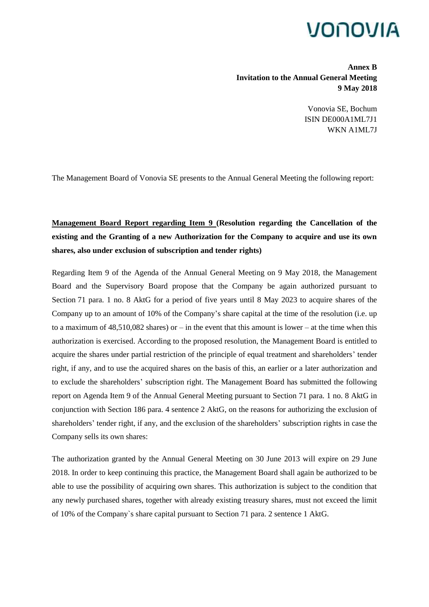# VONOVIA

**Annex B Invitation to the Annual General Meeting 9 May 2018**

> Vonovia SE, Bochum ISIN DE000A1ML7J1 WKN A1ML7J

The Management Board of Vonovia SE presents to the Annual General Meeting the following report:

## **Management Board Report regarding Item 9 (Resolution regarding the Cancellation of the existing and the Granting of a new Authorization for the Company to acquire and use its own shares, also under exclusion of subscription and tender rights)**

Regarding Item 9 of the Agenda of the Annual General Meeting on 9 May 2018, the Management Board and the Supervisory Board propose that the Company be again authorized pursuant to Section 71 para. 1 no. 8 AktG for a period of five years until 8 May 2023 to acquire shares of the Company up to an amount of 10% of the Company's share capital at the time of the resolution (i.e. up to a maximum of  $48,510,082$  shares) or – in the event that this amount is lower – at the time when this authorization is exercised. According to the proposed resolution, the Management Board is entitled to acquire the shares under partial restriction of the principle of equal treatment and shareholders' tender right, if any, and to use the acquired shares on the basis of this, an earlier or a later authorization and to exclude the shareholders' subscription right. The Management Board has submitted the following report on Agenda Item 9 of the Annual General Meeting pursuant to Section 71 para. 1 no. 8 AktG in conjunction with Section 186 para. 4 sentence 2 AktG, on the reasons for authorizing the exclusion of shareholders' tender right, if any, and the exclusion of the shareholders' subscription rights in case the Company sells its own shares:

The authorization granted by the Annual General Meeting on 30 June 2013 will expire on 29 June 2018. In order to keep continuing this practice, the Management Board shall again be authorized to be able to use the possibility of acquiring own shares. This authorization is subject to the condition that any newly purchased shares, together with already existing treasury shares, must not exceed the limit of 10% of the Company`s share capital pursuant to Section 71 para. 2 sentence 1 AktG.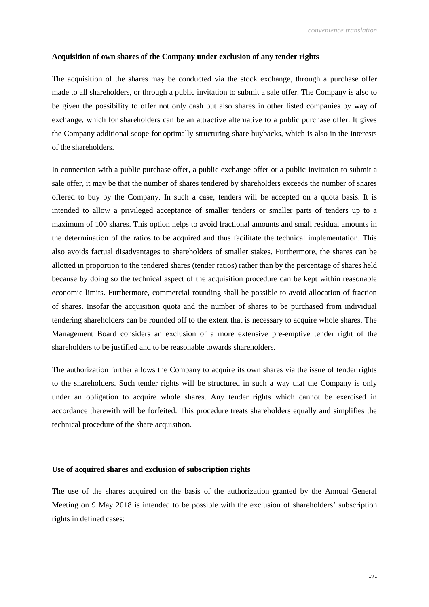#### **Acquisition of own shares of the Company under exclusion of any tender rights**

The acquisition of the shares may be conducted via the stock exchange, through a purchase offer made to all shareholders, or through a public invitation to submit a sale offer. The Company is also to be given the possibility to offer not only cash but also shares in other listed companies by way of exchange, which for shareholders can be an attractive alternative to a public purchase offer. It gives the Company additional scope for optimally structuring share buybacks, which is also in the interests of the shareholders.

In connection with a public purchase offer, a public exchange offer or a public invitation to submit a sale offer, it may be that the number of shares tendered by shareholders exceeds the number of shares offered to buy by the Company. In such a case, tenders will be accepted on a quota basis. It is intended to allow a privileged acceptance of smaller tenders or smaller parts of tenders up to a maximum of 100 shares. This option helps to avoid fractional amounts and small residual amounts in the determination of the ratios to be acquired and thus facilitate the technical implementation. This also avoids factual disadvantages to shareholders of smaller stakes. Furthermore, the shares can be allotted in proportion to the tendered shares (tender ratios) rather than by the percentage of shares held because by doing so the technical aspect of the acquisition procedure can be kept within reasonable economic limits. Furthermore, commercial rounding shall be possible to avoid allocation of fraction of shares. Insofar the acquisition quota and the number of shares to be purchased from individual tendering shareholders can be rounded off to the extent that is necessary to acquire whole shares. The Management Board considers an exclusion of a more extensive pre-emptive tender right of the shareholders to be justified and to be reasonable towards shareholders.

The authorization further allows the Company to acquire its own shares via the issue of tender rights to the shareholders. Such tender rights will be structured in such a way that the Company is only under an obligation to acquire whole shares. Any tender rights which cannot be exercised in accordance therewith will be forfeited. This procedure treats shareholders equally and simplifies the technical procedure of the share acquisition.

#### **Use of acquired shares and exclusion of subscription rights**

The use of the shares acquired on the basis of the authorization granted by the Annual General Meeting on 9 May 2018 is intended to be possible with the exclusion of shareholders' subscription rights in defined cases: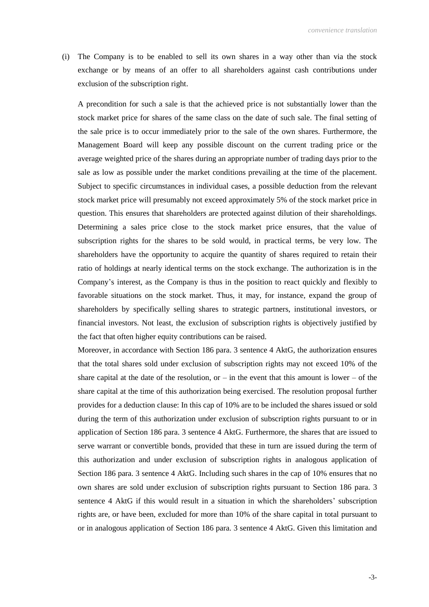(i) The Company is to be enabled to sell its own shares in a way other than via the stock exchange or by means of an offer to all shareholders against cash contributions under exclusion of the subscription right.

A precondition for such a sale is that the achieved price is not substantially lower than the stock market price for shares of the same class on the date of such sale. The final setting of the sale price is to occur immediately prior to the sale of the own shares. Furthermore, the Management Board will keep any possible discount on the current trading price or the average weighted price of the shares during an appropriate number of trading days prior to the sale as low as possible under the market conditions prevailing at the time of the placement. Subject to specific circumstances in individual cases, a possible deduction from the relevant stock market price will presumably not exceed approximately 5% of the stock market price in question. This ensures that shareholders are protected against dilution of their shareholdings. Determining a sales price close to the stock market price ensures, that the value of subscription rights for the shares to be sold would, in practical terms, be very low. The shareholders have the opportunity to acquire the quantity of shares required to retain their ratio of holdings at nearly identical terms on the stock exchange. The authorization is in the Company's interest, as the Company is thus in the position to react quickly and flexibly to favorable situations on the stock market. Thus, it may, for instance, expand the group of shareholders by specifically selling shares to strategic partners, institutional investors, or financial investors. Not least, the exclusion of subscription rights is objectively justified by the fact that often higher equity contributions can be raised.

Moreover, in accordance with Section 186 para. 3 sentence 4 AktG, the authorization ensures that the total shares sold under exclusion of subscription rights may not exceed 10% of the share capital at the date of the resolution, or  $-$  in the event that this amount is lower  $-$  of the share capital at the time of this authorization being exercised. The resolution proposal further provides for a deduction clause: In this cap of 10% are to be included the shares issued or sold during the term of this authorization under exclusion of subscription rights pursuant to or in application of Section 186 para. 3 sentence 4 AktG. Furthermore, the shares that are issued to serve warrant or convertible bonds, provided that these in turn are issued during the term of this authorization and under exclusion of subscription rights in analogous application of Section 186 para. 3 sentence 4 AktG. Including such shares in the cap of 10% ensures that no own shares are sold under exclusion of subscription rights pursuant to Section 186 para. 3 sentence 4 AktG if this would result in a situation in which the shareholders' subscription rights are, or have been, excluded for more than 10% of the share capital in total pursuant to or in analogous application of Section 186 para. 3 sentence 4 AktG. Given this limitation and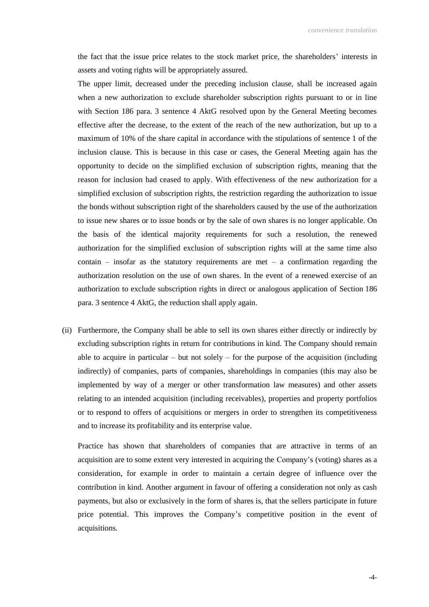the fact that the issue price relates to the stock market price, the shareholders' interests in assets and voting rights will be appropriately assured.

The upper limit, decreased under the preceding inclusion clause, shall be increased again when a new authorization to exclude shareholder subscription rights pursuant to or in line with Section 186 para. 3 sentence 4 AktG resolved upon by the General Meeting becomes effective after the decrease, to the extent of the reach of the new authorization, but up to a maximum of 10% of the share capital in accordance with the stipulations of sentence 1 of the inclusion clause. This is because in this case or cases, the General Meeting again has the opportunity to decide on the simplified exclusion of subscription rights, meaning that the reason for inclusion had ceased to apply. With effectiveness of the new authorization for a simplified exclusion of subscription rights, the restriction regarding the authorization to issue the bonds without subscription right of the shareholders caused by the use of the authorization to issue new shares or to issue bonds or by the sale of own shares is no longer applicable. On the basis of the identical majority requirements for such a resolution, the renewed authorization for the simplified exclusion of subscription rights will at the same time also contain – insofar as the statutory requirements are met – a confirmation regarding the authorization resolution on the use of own shares. In the event of a renewed exercise of an authorization to exclude subscription rights in direct or analogous application of Section 186 para. 3 sentence 4 AktG, the reduction shall apply again.

(ii) Furthermore, the Company shall be able to sell its own shares either directly or indirectly by excluding subscription rights in return for contributions in kind. The Company should remain able to acquire in particular  $-$  but not solely  $-$  for the purpose of the acquisition (including indirectly) of companies, parts of companies, shareholdings in companies (this may also be implemented by way of a merger or other transformation law measures) and other assets relating to an intended acquisition (including receivables), properties and property portfolios or to respond to offers of acquisitions or mergers in order to strengthen its competitiveness and to increase its profitability and its enterprise value.

Practice has shown that shareholders of companies that are attractive in terms of an acquisition are to some extent very interested in acquiring the Company's (voting) shares as a consideration, for example in order to maintain a certain degree of influence over the contribution in kind. Another argument in favour of offering a consideration not only as cash payments, but also or exclusively in the form of shares is, that the sellers participate in future price potential. This improves the Company's competitive position in the event of acquisitions.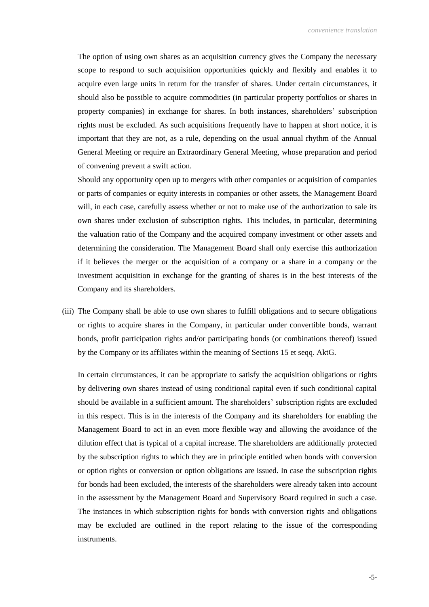The option of using own shares as an acquisition currency gives the Company the necessary scope to respond to such acquisition opportunities quickly and flexibly and enables it to acquire even large units in return for the transfer of shares. Under certain circumstances, it should also be possible to acquire commodities (in particular property portfolios or shares in property companies) in exchange for shares. In both instances, shareholders' subscription rights must be excluded. As such acquisitions frequently have to happen at short notice, it is important that they are not, as a rule, depending on the usual annual rhythm of the Annual General Meeting or require an Extraordinary General Meeting, whose preparation and period of convening prevent a swift action.

Should any opportunity open up to mergers with other companies or acquisition of companies or parts of companies or equity interests in companies or other assets, the Management Board will, in each case, carefully assess whether or not to make use of the authorization to sale its own shares under exclusion of subscription rights. This includes, in particular, determining the valuation ratio of the Company and the acquired company investment or other assets and determining the consideration. The Management Board shall only exercise this authorization if it believes the merger or the acquisition of a company or a share in a company or the investment acquisition in exchange for the granting of shares is in the best interests of the Company and its shareholders.

(iii) The Company shall be able to use own shares to fulfill obligations and to secure obligations or rights to acquire shares in the Company, in particular under convertible bonds, warrant bonds, profit participation rights and/or participating bonds (or combinations thereof) issued by the Company or its affiliates within the meaning of Sections 15 et seqq. AktG.

In certain circumstances, it can be appropriate to satisfy the acquisition obligations or rights by delivering own shares instead of using conditional capital even if such conditional capital should be available in a sufficient amount. The shareholders' subscription rights are excluded in this respect. This is in the interests of the Company and its shareholders for enabling the Management Board to act in an even more flexible way and allowing the avoidance of the dilution effect that is typical of a capital increase. The shareholders are additionally protected by the subscription rights to which they are in principle entitled when bonds with conversion or option rights or conversion or option obligations are issued. In case the subscription rights for bonds had been excluded, the interests of the shareholders were already taken into account in the assessment by the Management Board and Supervisory Board required in such a case. The instances in which subscription rights for bonds with conversion rights and obligations may be excluded are outlined in the report relating to the issue of the corresponding instruments.

-5-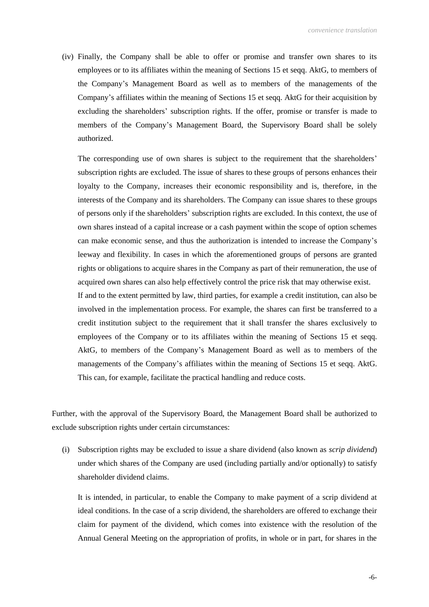(iv) Finally, the Company shall be able to offer or promise and transfer own shares to its employees or to its affiliates within the meaning of Sections 15 et seqq. AktG, to members of the Company's Management Board as well as to members of the managements of the Company's affiliates within the meaning of Sections 15 et seqq. AktG for their acquisition by excluding the shareholders' subscription rights. If the offer, promise or transfer is made to members of the Company's Management Board, the Supervisory Board shall be solely authorized.

The corresponding use of own shares is subject to the requirement that the shareholders' subscription rights are excluded. The issue of shares to these groups of persons enhances their loyalty to the Company, increases their economic responsibility and is, therefore, in the interests of the Company and its shareholders. The Company can issue shares to these groups of persons only if the shareholders' subscription rights are excluded. In this context, the use of own shares instead of a capital increase or a cash payment within the scope of option schemes can make economic sense, and thus the authorization is intended to increase the Company's leeway and flexibility. In cases in which the aforementioned groups of persons are granted rights or obligations to acquire shares in the Company as part of their remuneration, the use of acquired own shares can also help effectively control the price risk that may otherwise exist.

If and to the extent permitted by law, third parties, for example a credit institution, can also be involved in the implementation process. For example, the shares can first be transferred to a credit institution subject to the requirement that it shall transfer the shares exclusively to employees of the Company or to its affiliates within the meaning of Sections 15 et seqq. AktG, to members of the Company's Management Board as well as to members of the managements of the Company's affiliates within the meaning of Sections 15 et seqq. AktG. This can, for example, facilitate the practical handling and reduce costs.

Further, with the approval of the Supervisory Board, the Management Board shall be authorized to exclude subscription rights under certain circumstances:

(i) Subscription rights may be excluded to issue a share dividend (also known as *scrip dividend*) under which shares of the Company are used (including partially and/or optionally) to satisfy shareholder dividend claims.

It is intended, in particular, to enable the Company to make payment of a scrip dividend at ideal conditions. In the case of a scrip dividend, the shareholders are offered to exchange their claim for payment of the dividend, which comes into existence with the resolution of the Annual General Meeting on the appropriation of profits, in whole or in part, for shares in the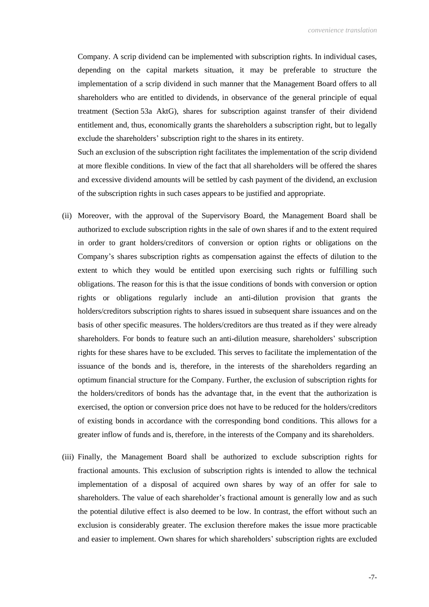Company. A scrip dividend can be implemented with subscription rights. In individual cases, depending on the capital markets situation, it may be preferable to structure the implementation of a scrip dividend in such manner that the Management Board offers to all shareholders who are entitled to dividends, in observance of the general principle of equal treatment (Section 53a AktG), shares for subscription against transfer of their dividend entitlement and, thus, economically grants the shareholders a subscription right, but to legally exclude the shareholders' subscription right to the shares in its entirety.

Such an exclusion of the subscription right facilitates the implementation of the scrip dividend at more flexible conditions. In view of the fact that all shareholders will be offered the shares and excessive dividend amounts will be settled by cash payment of the dividend, an exclusion of the subscription rights in such cases appears to be justified and appropriate.

- (ii) Moreover, with the approval of the Supervisory Board, the Management Board shall be authorized to exclude subscription rights in the sale of own shares if and to the extent required in order to grant holders/creditors of conversion or option rights or obligations on the Company's shares subscription rights as compensation against the effects of dilution to the extent to which they would be entitled upon exercising such rights or fulfilling such obligations. The reason for this is that the issue conditions of bonds with conversion or option rights or obligations regularly include an anti-dilution provision that grants the holders/creditors subscription rights to shares issued in subsequent share issuances and on the basis of other specific measures. The holders/creditors are thus treated as if they were already shareholders. For bonds to feature such an anti-dilution measure, shareholders' subscription rights for these shares have to be excluded. This serves to facilitate the implementation of the issuance of the bonds and is, therefore, in the interests of the shareholders regarding an optimum financial structure for the Company. Further, the exclusion of subscription rights for the holders/creditors of bonds has the advantage that, in the event that the authorization is exercised, the option or conversion price does not have to be reduced for the holders/creditors of existing bonds in accordance with the corresponding bond conditions. This allows for a greater inflow of funds and is, therefore, in the interests of the Company and its shareholders.
- (iii) Finally, the Management Board shall be authorized to exclude subscription rights for fractional amounts. This exclusion of subscription rights is intended to allow the technical implementation of a disposal of acquired own shares by way of an offer for sale to shareholders. The value of each shareholder's fractional amount is generally low and as such the potential dilutive effect is also deemed to be low. In contrast, the effort without such an exclusion is considerably greater. The exclusion therefore makes the issue more practicable and easier to implement. Own shares for which shareholders' subscription rights are excluded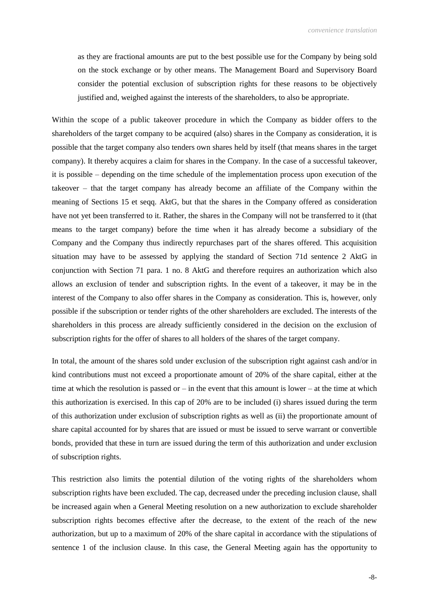as they are fractional amounts are put to the best possible use for the Company by being sold on the stock exchange or by other means. The Management Board and Supervisory Board consider the potential exclusion of subscription rights for these reasons to be objectively justified and, weighed against the interests of the shareholders, to also be appropriate.

Within the scope of a public takeover procedure in which the Company as bidder offers to the shareholders of the target company to be acquired (also) shares in the Company as consideration, it is possible that the target company also tenders own shares held by itself (that means shares in the target company). It thereby acquires a claim for shares in the Company. In the case of a successful takeover, it is possible – depending on the time schedule of the implementation process upon execution of the takeover – that the target company has already become an affiliate of the Company within the meaning of Sections 15 et seqq. AktG, but that the shares in the Company offered as consideration have not yet been transferred to it. Rather, the shares in the Company will not be transferred to it (that means to the target company) before the time when it has already become a subsidiary of the Company and the Company thus indirectly repurchases part of the shares offered. This acquisition situation may have to be assessed by applying the standard of Section 71d sentence 2 AktG in conjunction with Section 71 para. 1 no. 8 AktG and therefore requires an authorization which also allows an exclusion of tender and subscription rights. In the event of a takeover, it may be in the interest of the Company to also offer shares in the Company as consideration. This is, however, only possible if the subscription or tender rights of the other shareholders are excluded. The interests of the shareholders in this process are already sufficiently considered in the decision on the exclusion of subscription rights for the offer of shares to all holders of the shares of the target company.

In total, the amount of the shares sold under exclusion of the subscription right against cash and/or in kind contributions must not exceed a proportionate amount of 20% of the share capital, either at the time at which the resolution is passed or  $-$  in the event that this amount is lower  $-$  at the time at which this authorization is exercised. In this cap of 20% are to be included (i) shares issued during the term of this authorization under exclusion of subscription rights as well as (ii) the proportionate amount of share capital accounted for by shares that are issued or must be issued to serve warrant or convertible bonds, provided that these in turn are issued during the term of this authorization and under exclusion of subscription rights.

This restriction also limits the potential dilution of the voting rights of the shareholders whom subscription rights have been excluded. The cap, decreased under the preceding inclusion clause, shall be increased again when a General Meeting resolution on a new authorization to exclude shareholder subscription rights becomes effective after the decrease, to the extent of the reach of the new authorization, but up to a maximum of 20% of the share capital in accordance with the stipulations of sentence 1 of the inclusion clause. In this case, the General Meeting again has the opportunity to